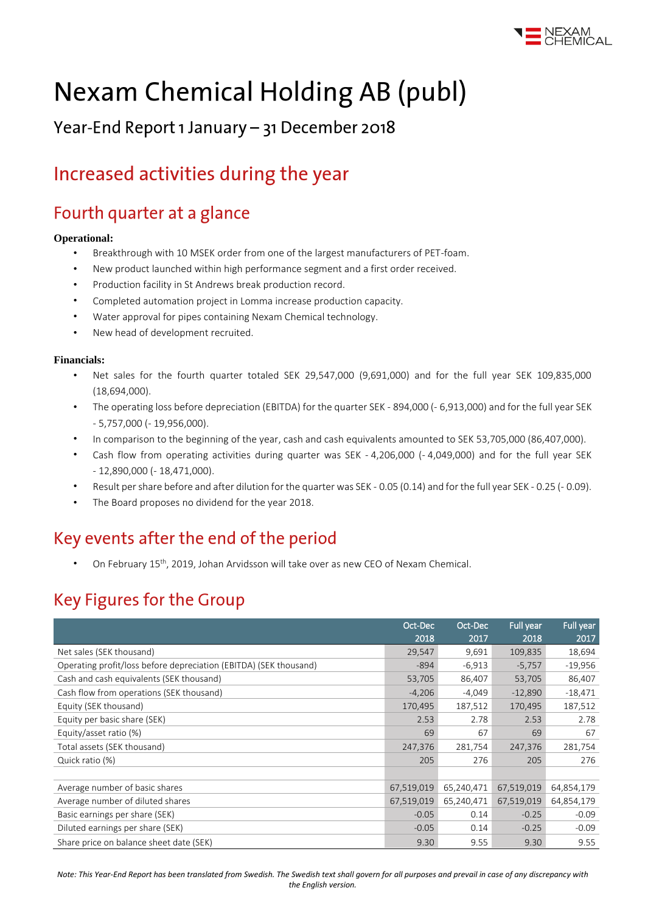

# **Nexam Chemical Holding AB (publ)**

Year-End Report 1 January - 31 December 2018

## Increased activities during the year

### Fourth quarter at a glance

#### **Operational:**

- Breakthrough with 10 MSEK order from one of the largest manufacturers of PET-foam.
- New product launched within high performance segment and a first order received.
- Production facility in St Andrews break production record.
- Completed automation project in Lomma increase production capacity.
- Water approval for pipes containing Nexam Chemical technology.
- New head of development recruited.

#### **Financials:**

- Net sales for the fourth quarter totaled SEK 29,547,000 (9,691,000) and for the full year SEK 109,835,000 (18,694,000).
- The operating loss before depreciation (EBITDA) for the quarter SEK 894,000 (- 6,913,000) and for the full year SEK - 5,757,000 (- 19,956,000).
- In comparison to the beginning of the year, cash and cash equivalents amounted to SEK 53,705,000 (86,407,000).
- Cash flow from operating activities during quarter was SEK 4,206,000 (- 4,049,000) and for the full year SEK - 12,890,000 (- 18,471,000).
- Result per share before and after dilution for the quarter was SEK 0.05 (0.14) and for the full year SEK 0.25 (- 0.09).
- The Board proposes no dividend for the year 2018.

### Key events after the end of the period

On February 15<sup>th</sup>, 2019, Johan Arvidsson will take over as new CEO of Nexam Chemical.

### **Key Figures for the Group**

|                                                                   | Oct-Dec    | Oct-Dec    | Full year  | Full year  |
|-------------------------------------------------------------------|------------|------------|------------|------------|
|                                                                   | 2018       | 2017       | 2018       | 2017       |
| Net sales (SEK thousand)                                          | 29,547     | 9,691      | 109,835    | 18,694     |
| Operating profit/loss before depreciation (EBITDA) (SEK thousand) | $-894$     | $-6,913$   | $-5,757$   | $-19,956$  |
| Cash and cash equivalents (SEK thousand)                          | 53,705     | 86,407     | 53,705     | 86,407     |
| Cash flow from operations (SEK thousand)                          | $-4,206$   | $-4,049$   | $-12,890$  | $-18,471$  |
| Equity (SEK thousand)                                             | 170,495    | 187,512    | 170,495    | 187,512    |
| Equity per basic share (SEK)                                      | 2.53       | 2.78       | 2.53       | 2.78       |
| Equity/asset ratio (%)                                            | 69         | 67         | 69         | 67         |
| Total assets (SEK thousand)                                       | 247,376    | 281,754    | 247,376    | 281,754    |
| Quick ratio (%)                                                   | 205        | 276        | 205        | 276        |
|                                                                   |            |            |            |            |
| Average number of basic shares                                    | 67,519,019 | 65,240,471 | 67,519,019 | 64,854,179 |
| Average number of diluted shares                                  | 67,519,019 | 65,240,471 | 67,519,019 | 64,854,179 |
| Basic earnings per share (SEK)                                    | $-0.05$    | 0.14       | $-0.25$    | $-0.09$    |
| Diluted earnings per share (SEK)                                  | $-0.05$    | 0.14       | $-0.25$    | $-0.09$    |
| Share price on balance sheet date (SEK)                           | 9.30       | 9.55       | 9.30       | 9.55       |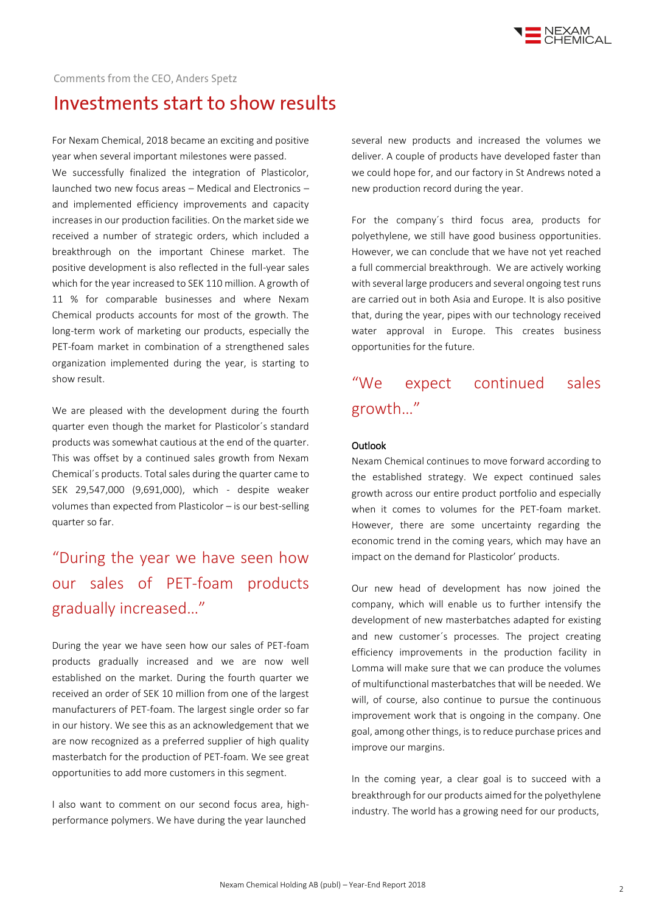

### Investments start to show results

For Nexam Chemical, 2018 became an exciting and positive year when several important milestones were passed. We successfully finalized the integration of Plasticolor, launched two new focus areas – Medical and Electronics – and implemented efficiency improvements and capacity increases in our production facilities. On the market side we received a number of strategic orders, which included a breakthrough on the important Chinese market. The positive development is also reflected in the full-year sales which for the year increased to SEK 110 million. A growth of 11 % for comparable businesses and where Nexam Chemical products accounts for most of the growth. The long-term work of marketing our products, especially the PET-foam market in combination of a strengthened sales organization implemented during the year, is starting to show result.

We are pleased with the development during the fourth quarter even though the market for Plasticolor´s standard products was somewhat cautious at the end of the quarter. This was offset by a continued sales growth from Nexam Chemical´s products. Total sales during the quarter came to SEK 29,547,000 (9,691,000), which - despite weaker volumes than expected from Plasticolor – is our best-selling quarter so far.

### "During the year we have seen how our sales of PET-foam products gradually increased…"

During the year we have seen how our sales of PET-foam products gradually increased and we are now well established on the market. During the fourth quarter we received an order of SEK 10 million from one of the largest manufacturers of PET-foam. The largest single order so far in our history. We see this as an acknowledgement that we are now recognized as a preferred supplier of high quality masterbatch for the production of PET-foam. We see great opportunities to add more customers in this segment.

I also want to comment on our second focus area, highperformance polymers. We have during the year launched

several new products and increased the volumes we deliver. A couple of products have developed faster than we could hope for, and our factory in St Andrews noted a new production record during the year.

For the company´s third focus area, products for polyethylene, we still have good business opportunities. However, we can conclude that we have not yet reached a full commercial breakthrough. We are actively working with several large producers and several ongoing test runs are carried out in both Asia and Europe. It is also positive that, during the year, pipes with our technology received water approval in Europe. This creates business opportunities for the future.

### "We expect continued sales growth…"

#### **Outlook**

Nexam Chemical continues to move forward according to the established strategy. We expect continued sales growth across our entire product portfolio and especially when it comes to volumes for the PET-foam market. However, there are some uncertainty regarding the economic trend in the coming years, which may have an impact on the demand for Plasticolor' products.

Our new head of development has now joined the company, which will enable us to further intensify the development of new masterbatches adapted for existing and new customer´s processes. The project creating efficiency improvements in the production facility in Lomma will make sure that we can produce the volumes of multifunctional masterbatches that will be needed. We will, of course, also continue to pursue the continuous improvement work that is ongoing in the company. One goal, among other things, is to reduce purchase prices and improve our margins.

In the coming year, a clear goal is to succeed with a breakthrough for our products aimed for the polyethylene industry. The world has a growing need for our products,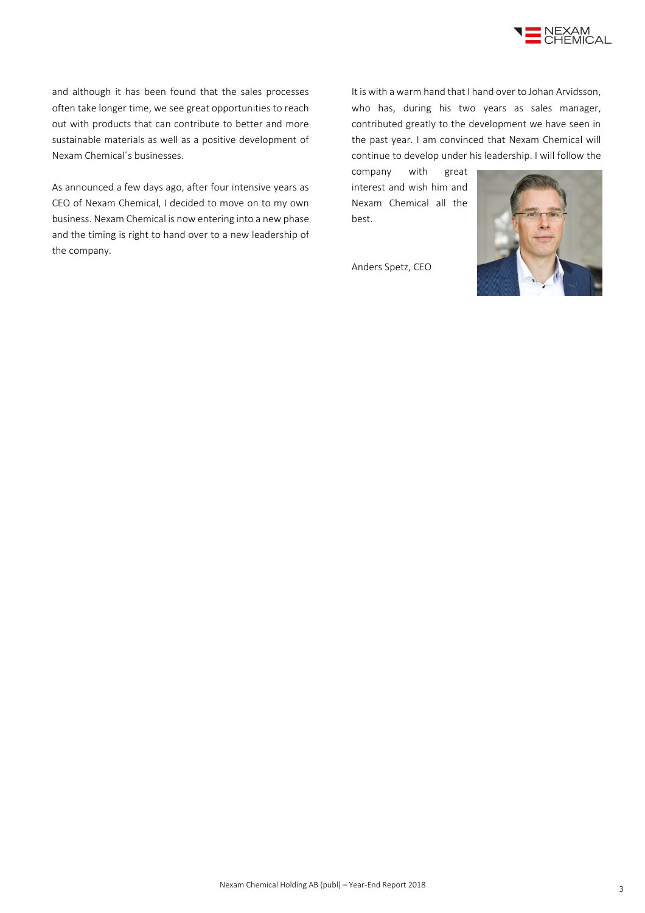

and although it has been found that the sales processes often take longer time, we see great opportunities to reach out with products that can contribute to better and more sustainable materials as well as a positive development of Nexam Chemical´s businesses.

As announced a few days ago, after four intensive years as CEO of Nexam Chemical, I decided to move on to my own business. Nexam Chemical is now entering into a new phase and the timing is right to hand over to a new leadership of the company.

It is with a warm hand that I hand over to Johan Arvidsson, who has, during his two years as sales manager, contributed greatly to the development we have seen in the past year. I am convinced that Nexam Chemical will continue to develop under his leadership. I will follow the

company with great interest and wish him and Nexam Chemical all the best.

Anders Spetz, CEO

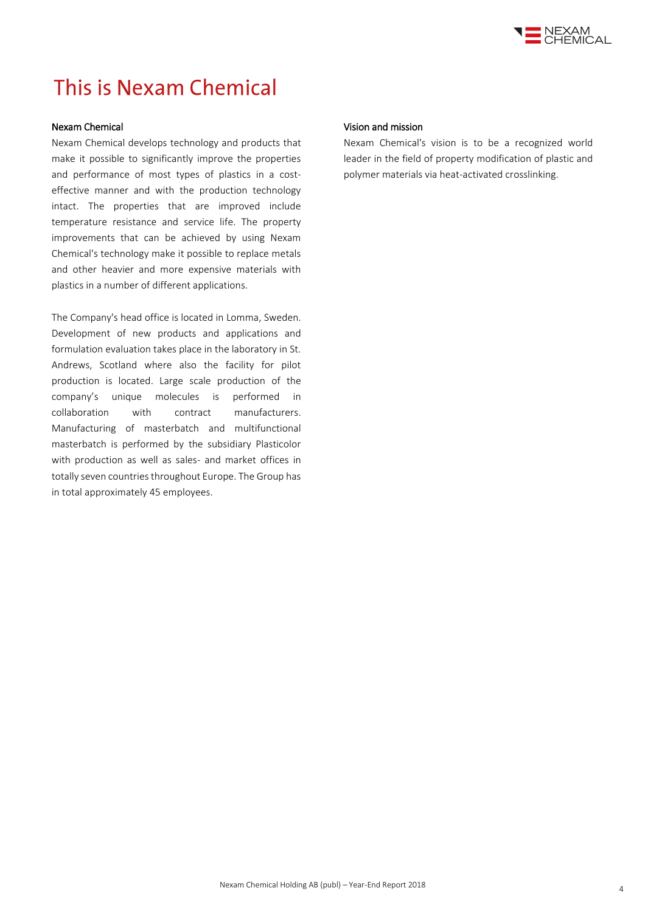

## This is Nexam Chemical

#### Nexam Chemical

Nexam Chemical develops technology and products that make it possible to significantly improve the properties and performance of most types of plastics in a costeffective manner and with the production technology intact. The properties that are improved include temperature resistance and service life. The property improvements that can be achieved by using Nexam Chemical's technology make it possible to replace metals and other heavier and more expensive materials with plastics in a number of different applications.

The Company's head office is located in Lomma, Sweden. Development of new products and applications and formulation evaluation takes place in the laboratory in St. Andrews, Scotland where also the facility for pilot production is located. Large scale production of the company's unique molecules is performed in collaboration with contract manufacturers. Manufacturing of masterbatch and multifunctional masterbatch is performed by the subsidiary Plasticolor with production as well as sales- and market offices in totally seven countries throughout Europe. The Group has in total approximately 45 employees.

#### Vision and mission

Nexam Chemical's vision is to be a recognized world leader in the field of property modification of plastic and polymer materials via heat-activated crosslinking.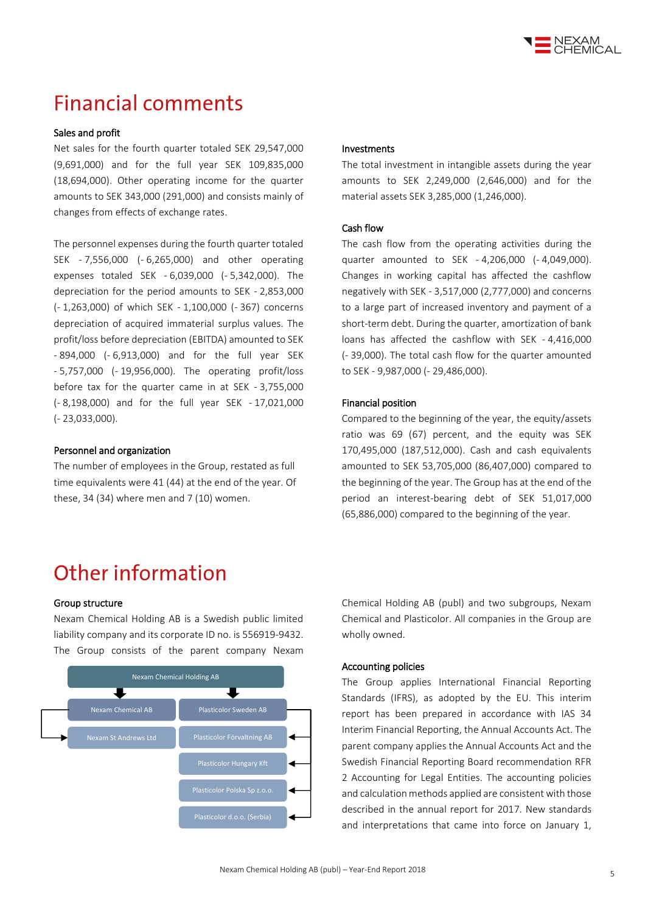

## **Financial comments**

#### Sales and profit

Net sales for the fourth quarter totaled SEK 29,547,000 (9,691,000) and for the full year SEK 109,835,000 (18,694,000). Other operating income for the quarter amounts to SEK 343,000 (291,000) and consists mainly of changes from effects of exchange rates.

The personnel expenses during the fourth quarter totaled SEK - 7,556,000 (- 6,265,000) and other operating expenses totaled SEK - 6,039,000 (- 5,342,000). The depreciation for the period amounts to SEK - 2,853,000 (- 1,263,000) of which SEK - 1,100,000 (- 367) concerns depreciation of acquired immaterial surplus values. The profit/loss before depreciation (EBITDA) amounted to SEK - 894,000 (- 6,913,000) and for the full year SEK - 5,757,000 (- 19,956,000). The operating profit/loss before tax for the quarter came in at SEK - 3,755,000 (- 8,198,000) and for the full year SEK - 17,021,000 (- 23,033,000).

#### Personnel and organization

The number of employees in the Group, restated as full time equivalents were 41 (44) at the end of the year. Of these, 34 (34) where men and  $7$  (10) women.

### Other information

#### Group structure

Nexam Chemical Holding AB is a Swedish public limited liability company and its corporate ID no. is 556919-9432. The Group consists of the parent company Nexam



#### Investments

The total investment in intangible assets during the year amounts to SEK 2,249,000 (2,646,000) and for the material assets SEK 3,285,000 (1,246,000).

#### Cash flow

The cash flow from the operating activities during the quarter amounted to SEK - 4,206,000 (- 4,049,000). Changes in working capital has affected the cashflow negatively with SEK - 3,517,000 (2,777,000) and concerns to a large part of increased inventory and payment of a short-term debt. During the quarter, amortization of bank loans has affected the cashflow with SEK - 4,416,000 (- 39,000). The total cash flow for the quarter amounted to SEK - 9,987,000 (- 29,486,000).

#### Financial position

Compared to the beginning of the year, the equity/assets ratio was 69 (67) percent, and the equity was SEK 170,495,000 (187,512,000). Cash and cash equivalents amounted to SEK 53,705,000 (86,407,000) compared to the beginning of the year. The Group has at the end of the period an interest-bearing debt of SEK 51,017,000 (65,886,000) compared to the beginning of the year.

Chemical Holding AB (publ) and two subgroups, Nexam Chemical and Plasticolor. All companies in the Group are wholly owned.

#### Accounting policies

The Group applies International Financial Reporting Standards (IFRS), as adopted by the EU. This interim report has been prepared in accordance with IAS 34 Interim Financial Reporting, the Annual Accounts Act. The parent company applies the Annual Accounts Act and the Swedish Financial Reporting Board recommendation RFR 2 Accounting for Legal Entities. The accounting policies and calculation methods applied are consistent with those described in the annual report for 2017. New standards and interpretations that came into force on January 1,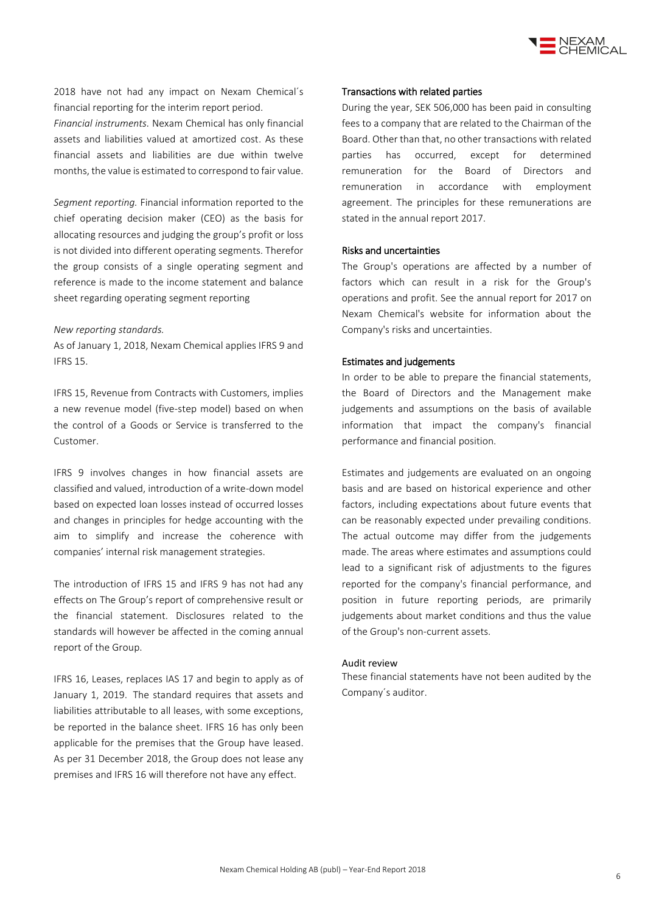

2018 have not had any impact on Nexam Chemical´s financial reporting for the interim report period.

*Financial instruments.* Nexam Chemical has only financial assets and liabilities valued at amortized cost. As these financial assets and liabilities are due within twelve months, the value is estimated to correspond to fair value.

*Segment reporting.* Financial information reported to the chief operating decision maker (CEO) as the basis for allocating resources and judging the group's profit or loss is not divided into different operating segments. Therefor the group consists of a single operating segment and reference is made to the income statement and balance sheet regarding operating segment reporting

#### *New reporting standards.*

As of January 1, 2018, Nexam Chemical applies IFRS 9 and IFRS 15.

IFRS 15, Revenue from Contracts with Customers, implies a new revenue model (five-step model) based on when the control of a Goods or Service is transferred to the Customer.

IFRS 9 involves changes in how financial assets are classified and valued, introduction of a write-down model based on expected loan losses instead of occurred losses and changes in principles for hedge accounting with the aim to simplify and increase the coherence with companies' internal risk management strategies.

The introduction of IFRS 15 and IFRS 9 has not had any effects on The Group's report of comprehensive result or the financial statement. Disclosures related to the standards will however be affected in the coming annual report of the Group.

IFRS 16, Leases, replaces IAS 17 and begin to apply as of January 1, 2019. The standard requires that assets and liabilities attributable to all leases, with some exceptions, be reported in the balance sheet. IFRS 16 has only been applicable for the premises that the Group have leased. As per 31 December 2018, the Group does not lease any premises and IFRS 16 will therefore not have any effect.

#### Transactions with related parties

During the year, SEK 506,000 has been paid in consulting fees to a company that are related to the Chairman of the Board. Other than that, no other transactions with related parties has occurred, except for determined remuneration for the Board of Directors and remuneration in accordance with employment agreement. The principles for these remunerations are stated in the annual report 2017.

#### Risks and uncertainties

The Group's operations are affected by a number of factors which can result in a risk for the Group's operations and profit. See the annual report for 2017 on Nexam Chemical's website for information about the Company's risks and uncertainties.

#### Estimates and judgements

In order to be able to prepare the financial statements, the Board of Directors and the Management make judgements and assumptions on the basis of available information that impact the company's financial performance and financial position.

Estimates and judgements are evaluated on an ongoing basis and are based on historical experience and other factors, including expectations about future events that can be reasonably expected under prevailing conditions. The actual outcome may differ from the judgements made. The areas where estimates and assumptions could lead to a significant risk of adjustments to the figures reported for the company's financial performance, and position in future reporting periods, are primarily judgements about market conditions and thus the value of the Group's non-current assets.

#### Audit review

These financial statements have not been audited by the Company´s auditor.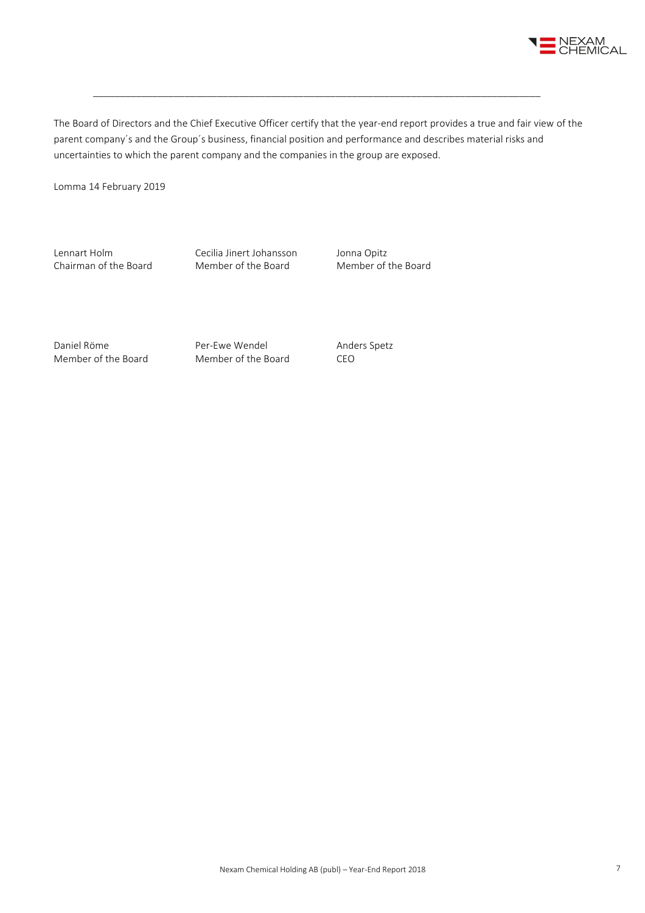

The Board of Directors and the Chief Executive Officer certify that the year-end report provides a true and fair view of the parent company´s and the Group´s business, financial position and performance and describes material risks and uncertainties to which the parent company and the companies in the group are exposed.

\_\_\_\_\_\_\_\_\_\_\_\_\_\_\_\_\_\_\_\_\_\_\_\_\_\_\_\_\_\_\_\_\_\_\_\_\_\_\_\_\_\_\_\_\_\_\_\_\_\_\_\_\_\_\_\_\_\_\_\_\_\_\_\_\_\_\_\_\_\_\_\_\_\_\_\_\_\_\_\_\_\_\_

Lomma 14 February 2019

Lennart Holm Cecilia Jinert Johansson Jonna Opitz<br>
Chairman of the Board Member of the Board Member of the Board Chairman of the Board

Daniel Röme **Per-Ewe Wendel** Anders Spetz Member of the Board Member of the Board CEO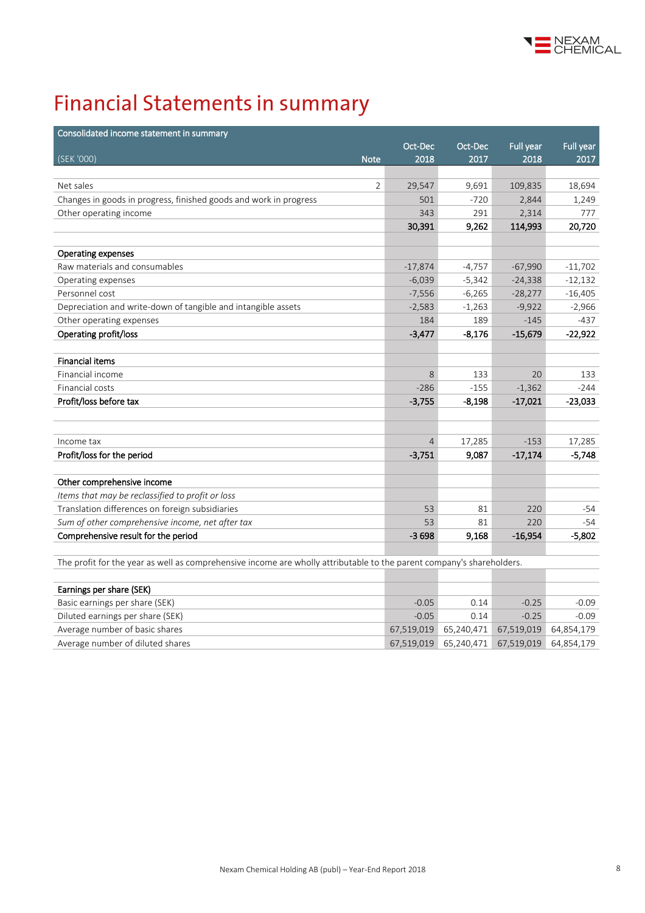

## **Financial Statements in summary**

| Consolidated income statement in summary                                                                              |                |          |                  |           |
|-----------------------------------------------------------------------------------------------------------------------|----------------|----------|------------------|-----------|
|                                                                                                                       | Oct-Dec        | Oct-Dec  | <b>Full year</b> | Full year |
| (SEK '000)<br><b>Note</b>                                                                                             | 2018           | 2017     | 2018             | 2017      |
|                                                                                                                       |                |          |                  |           |
| Net sales<br>$\overline{2}$                                                                                           | 29,547         | 9,691    | 109,835          | 18,694    |
| Changes in goods in progress, finished goods and work in progress                                                     | 501            | $-720$   | 2,844            | 1,249     |
| Other operating income                                                                                                | 343            | 291      | 2,314            | 777       |
|                                                                                                                       | 30,391         | 9,262    | 114,993          | 20,720    |
|                                                                                                                       |                |          |                  |           |
| <b>Operating expenses</b>                                                                                             |                |          |                  |           |
| Raw materials and consumables                                                                                         | $-17,874$      | $-4,757$ | $-67,990$        | $-11,702$ |
| Operating expenses                                                                                                    | $-6,039$       | $-5,342$ | $-24,338$        | $-12,132$ |
| Personnel cost                                                                                                        | $-7,556$       | $-6,265$ | $-28,277$        | $-16,405$ |
| Depreciation and write-down of tangible and intangible assets                                                         | $-2,583$       | $-1,263$ | $-9,922$         | $-2,966$  |
| Other operating expenses                                                                                              | 184            | 189      | $-145$           | $-437$    |
| Operating profit/loss                                                                                                 | $-3,477$       | $-8,176$ | $-15,679$        | $-22,922$ |
|                                                                                                                       |                |          |                  |           |
| <b>Financial items</b>                                                                                                |                |          |                  |           |
| Financial income                                                                                                      | 8              | 133      | 20               | 133       |
| Financial costs                                                                                                       | $-286$         | $-155$   | $-1,362$         | $-244$    |
| Profit/loss before tax                                                                                                | $-3,755$       | $-8,198$ | $-17,021$        | $-23,033$ |
|                                                                                                                       |                |          |                  |           |
|                                                                                                                       |                |          |                  |           |
| Income tax                                                                                                            | $\overline{4}$ | 17,285   | $-153$           | 17,285    |
| Profit/loss for the period                                                                                            | $-3,751$       | 9,087    | $-17,174$        | $-5,748$  |
|                                                                                                                       |                |          |                  |           |
| Other comprehensive income                                                                                            |                |          |                  |           |
| Items that may be reclassified to profit or loss                                                                      |                |          |                  |           |
| Translation differences on foreign subsidiaries                                                                       | 53             | 81       | 220              | -54       |
| Sum of other comprehensive income, net after tax                                                                      | 53             | 81       | 220              | $-54$     |
| Comprehensive result for the period                                                                                   | $-3698$        | 9,168    | $-16,954$        | $-5,802$  |
|                                                                                                                       |                |          |                  |           |
| The profit for the year as well as comprehensive income are wholly attributable to the parent company's shareholders. |                |          |                  |           |
|                                                                                                                       |                |          |                  |           |
| Earnings per share (SEK)                                                                                              |                |          |                  |           |

| Earnings per share (SEK)         |         |      |                                                      |         |
|----------------------------------|---------|------|------------------------------------------------------|---------|
| Basic earnings per share (SEK)   | $-0.05$ | 0.14 | $-0.25$                                              | $-0.09$ |
| Diluted earnings per share (SEK) | $-0.05$ | 0.14 | $-0.25$                                              | $-0.09$ |
| Average number of basic shares   |         |      | 67,519,019    65,240,471    67,519,019    64,854,179 |         |
| Average number of diluted shares |         |      | 67,519,019    65,240,471    67,519,019    64,854,179 |         |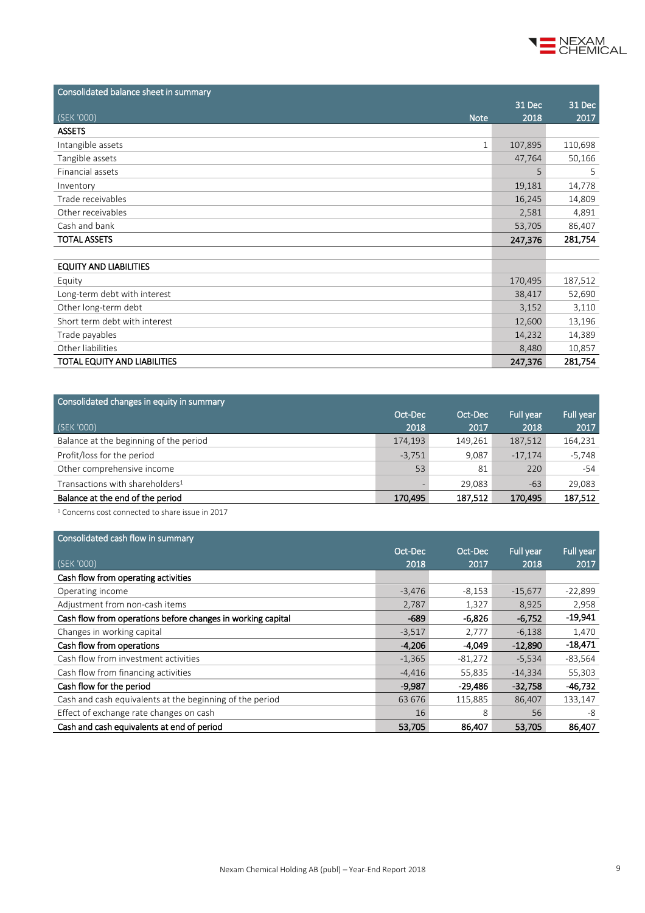

| Consolidated balance sheet in summary |                     |         |
|---------------------------------------|---------------------|---------|
|                                       | 31 Dec              | 31 Dec  |
| (SEK '000)                            | <b>Note</b><br>2018 | 2017    |
| <b>ASSETS</b>                         |                     |         |
| Intangible assets                     | 1<br>107,895        | 110,698 |
| Tangible assets                       | 47,764              | 50,166  |
| Financial assets                      | 5                   | 5       |
| Inventory                             | 19,181              | 14,778  |
| Trade receivables                     | 16,245              | 14,809  |
| Other receivables                     | 2,581               | 4,891   |
| Cash and bank                         | 53,705              | 86,407  |
| <b>TOTAL ASSETS</b>                   | 247,376             | 281,754 |
|                                       |                     |         |
| <b>EQUITY AND LIABILITIES</b>         |                     |         |
| Equity                                | 170,495             | 187,512 |
| Long-term debt with interest          | 38,417              | 52,690  |
| Other long-term debt                  | 3,152               | 3,110   |
| Short term debt with interest         | 12,600              | 13,196  |
| Trade payables                        | 14,232              | 14,389  |
| Other liabilities                     | 8,480               | 10,857  |
| TOTAL EQUITY AND LIABILITIES          | 247,376             | 281,754 |

| Consolidated changes in equity in summary   |          |         |                  |           |
|---------------------------------------------|----------|---------|------------------|-----------|
|                                             | Oct-Dec  | Oct-Dec | <b>Full vear</b> | Full year |
| (SEK '000)                                  | 2018     | 2017    | 2018             | 2017      |
| Balance at the beginning of the period      | 174,193  | 149,261 | 187,512          | 164,231   |
| Profit/loss for the period                  | $-3,751$ | 9,087   | $-17,174$        | $-5,748$  |
| Other comprehensive income                  | 53       | 81      | 220              | -54       |
| Transactions with shareholders <sup>1</sup> |          | 29.083  | $-63$            | 29,083    |
| Balance at the end of the period            | 170,495  | 187,512 | 170,495          | 187,512   |

<sup>1</sup> Concerns cost connected to share issue in 2017

Consolidated cash flow in summary

|                                                             | Oct-Dec  | Oct-Dec   | Full year | Full year |
|-------------------------------------------------------------|----------|-----------|-----------|-----------|
| (SEK '000)                                                  | 2018     | 2017      | 2018      | 2017      |
| Cash flow from operating activities                         |          |           |           |           |
| Operating income                                            | $-3,476$ | $-8,153$  | $-15,677$ | $-22,899$ |
| Adjustment from non-cash items                              | 2,787    | 1,327     | 8,925     | 2,958     |
| Cash flow from operations before changes in working capital | $-689$   | $-6,826$  | $-6,752$  | $-19,941$ |
| Changes in working capital                                  | $-3,517$ | 2,777     | $-6,138$  | 1,470     |
| Cash flow from operations                                   | $-4,206$ | -4,049    | $-12,890$ | $-18,471$ |
| Cash flow from investment activities                        | $-1,365$ | $-81,272$ | $-5,534$  | $-83,564$ |
| Cash flow from financing activities                         | $-4,416$ | 55,835    | $-14,334$ | 55,303    |
| Cash flow for the period                                    | $-9,987$ | $-29,486$ | $-32,758$ | $-46,732$ |
| Cash and cash equivalents at the beginning of the period    | 63 676   | 115,885   | 86,407    | 133,147   |
| Effect of exchange rate changes on cash                     | 16       | 8         | 56        | -8        |
| Cash and cash equivalents at end of period                  | 53,705   | 86.407    | 53,705    | 86,407    |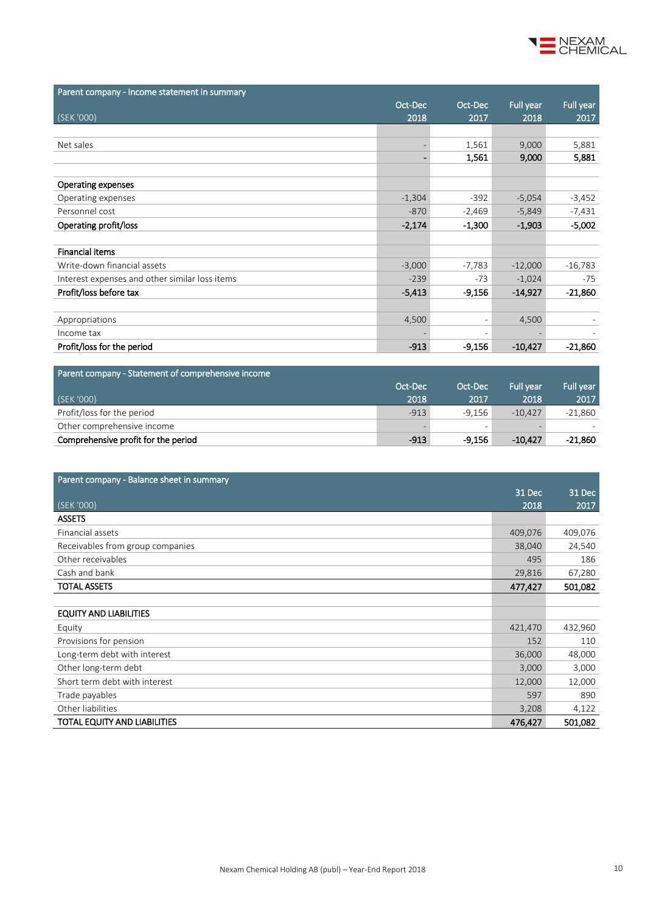

| Parent company - Income statement in summary   |          |                          |           |           |
|------------------------------------------------|----------|--------------------------|-----------|-----------|
|                                                | Oct-Dec  | Oct-Dec                  | Full year | Full year |
| (SEK '000)                                     | 2018     | 2017                     | 2018      | 2017      |
|                                                |          |                          |           |           |
| Net sales                                      |          | 1,561                    | 9,000     | 5,881     |
|                                                |          | 1,561                    | 9,000     | 5,881     |
|                                                |          |                          |           |           |
| Operating expenses                             |          |                          |           |           |
| Operating expenses                             | $-1,304$ | $-392$                   | $-5,054$  | $-3,452$  |
| Personnel cost                                 | $-870$   | $-2,469$                 | $-5,849$  | $-7,431$  |
| Operating profit/loss                          | $-2,174$ | $-1,300$                 | $-1,903$  | $-5,002$  |
|                                                |          |                          |           |           |
| <b>Financial items</b>                         |          |                          |           |           |
| Write-down financial assets                    | $-3,000$ | $-7,783$                 | $-12,000$ | $-16,783$ |
| Interest expenses and other similar loss items | $-239$   | -73                      | $-1,024$  | $-75$     |
| Profit/loss before tax                         | $-5,413$ | $-9,156$                 | $-14,927$ | $-21,860$ |
|                                                |          |                          |           |           |
| Appropriations                                 | 4,500    | $\overline{\phantom{a}}$ | 4,500     |           |
| Income tax                                     |          |                          |           |           |
| Profit/loss for the period                     | $-913$   | $-9,156$                 | $-10,427$ | $-21,860$ |

| Parent company - Statement of comprehensive income |         |          |                  |           |
|----------------------------------------------------|---------|----------|------------------|-----------|
|                                                    | Oct-Dec | Oct-Dec  | <b>Full vear</b> | Full year |
| (SEK '000)                                         | 2018    | 2017     | 2018             | 2017      |
| Profit/loss for the period                         | $-913$  | $-9.156$ | $-10.427$        | $-21.860$ |
| Other comprehensive income                         |         | -        |                  |           |
| Comprehensive profit for the period                | $-913$  | $-9.156$ | $-10.427$        | $-21.860$ |

| Parent company - Balance sheet in summary |         |         |
|-------------------------------------------|---------|---------|
|                                           | 31 Dec  | 31 Dec  |
| (SEK'000)'                                | 2018    | 2017    |
| <b>ASSETS</b>                             |         |         |
| Financial assets                          | 409,076 | 409,076 |
| Receivables from group companies          | 38,040  | 24,540  |
| Other receivables                         | 495     | 186     |
| Cash and bank                             | 29,816  | 67,280  |
| <b>TOTAL ASSETS</b>                       | 477,427 | 501,082 |
|                                           |         |         |
| <b>EQUITY AND LIABILITIES</b>             |         |         |
| Equity                                    | 421,470 | 432,960 |
| Provisions for pension                    | 152     | 110     |
| Long-term debt with interest              | 36,000  | 48,000  |
| Other long-term debt                      | 3,000   | 3,000   |
| Short term debt with interest             | 12,000  | 12,000  |
| Trade payables                            | 597     | 890     |
| Other liabilities                         | 3,208   | 4,122   |
| TOTAL EQUITY AND LIABILITIES              | 476,427 | 501,082 |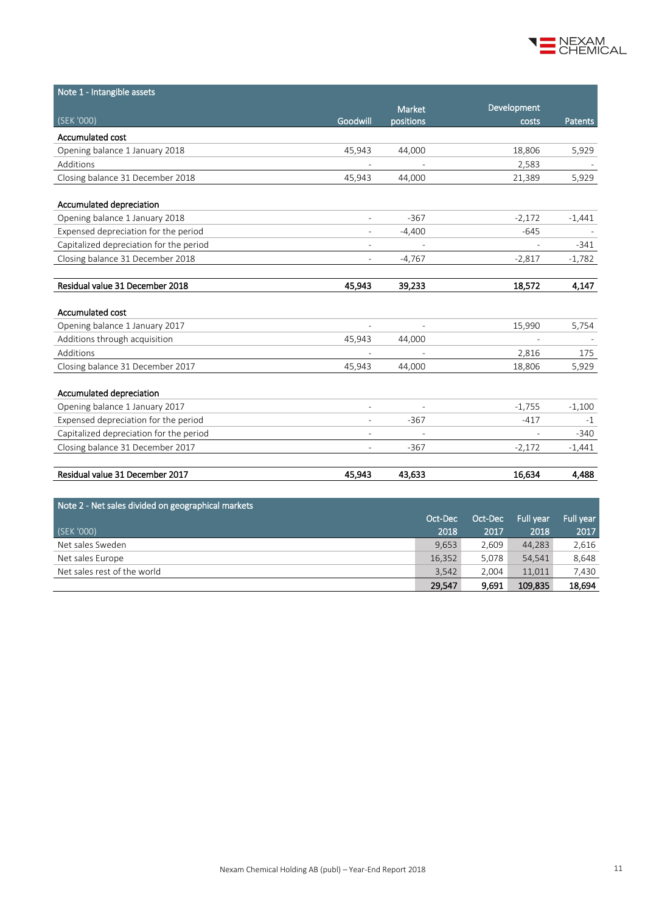

| Note 1 - Intangible assets                                             |                          |           |             |                |
|------------------------------------------------------------------------|--------------------------|-----------|-------------|----------------|
|                                                                        |                          | Market    | Development |                |
| (SEK '000)                                                             | Goodwill                 | positions | costs       | <b>Patents</b> |
| Accumulated cost                                                       |                          |           |             |                |
| Opening balance 1 January 2018                                         | 45,943                   | 44,000    | 18,806      | 5,929          |
| Additions                                                              |                          |           | 2,583       |                |
| Closing balance 31 December 2018                                       | 45,943                   | 44,000    | 21,389      | 5,929          |
| Accumulated depreciation                                               |                          |           |             |                |
|                                                                        |                          | $-367$    | $-2,172$    | $-1,441$       |
| Opening balance 1 January 2018<br>Expensed depreciation for the period |                          |           | $-645$      |                |
| Capitalized depreciation for the period                                |                          | $-4,400$  |             | $-341$         |
|                                                                        |                          | $-4,767$  |             |                |
| Closing balance 31 December 2018                                       | $\overline{\phantom{a}}$ |           | $-2,817$    | $-1,782$       |
| Residual value 31 December 2018                                        | 45,943                   | 39,233    | 18,572      | 4,147          |
| Accumulated cost                                                       |                          |           |             |                |
| Opening balance 1 January 2017                                         |                          |           | 15,990      | 5,754          |
| Additions through acquisition                                          | 45,943                   | 44,000    |             |                |
| Additions                                                              |                          |           | 2,816       | 175            |
| Closing balance 31 December 2017                                       | 45,943                   | 44,000    | 18,806      | 5,929          |
|                                                                        |                          |           |             |                |
| Accumulated depreciation                                               |                          |           |             |                |
| Opening balance 1 January 2017                                         |                          | $\sim$    | $-1,755$    | $-1,100$       |
| Expensed depreciation for the period                                   | $\overline{\phantom{a}}$ | $-367$    | $-417$      | $-1$           |
| Capitalized depreciation for the period                                |                          |           |             | $-340$         |
| Closing balance 31 December 2017                                       | $\overline{\phantom{a}}$ | $-367$    | $-2,172$    | $-1,441$       |
| Residual value 31 December 2017                                        | 45,943                   | 43,633    | 16,634      | 4,488          |
|                                                                        |                          |           |             |                |

| Note 2 - Net sales divided on geographical markets |         |         |           |           |
|----------------------------------------------------|---------|---------|-----------|-----------|
|                                                    | Oct-Dec | Oct-Dec | Full year | Full year |
| (SEK '000)                                         | 2018    | 2017    | 2018      | 2017      |
| Net sales Sweden                                   | 9,653   | 2.609   | 44,283    | 2,616     |
| Net sales Europe                                   | 16,352  | 5.078   | 54.541    | 8,648     |
| Net sales rest of the world                        | 3.542   | 2.004   | 11.011    | 7,430     |
|                                                    | 29,547  | 9.691   | 109,835   | 18,694    |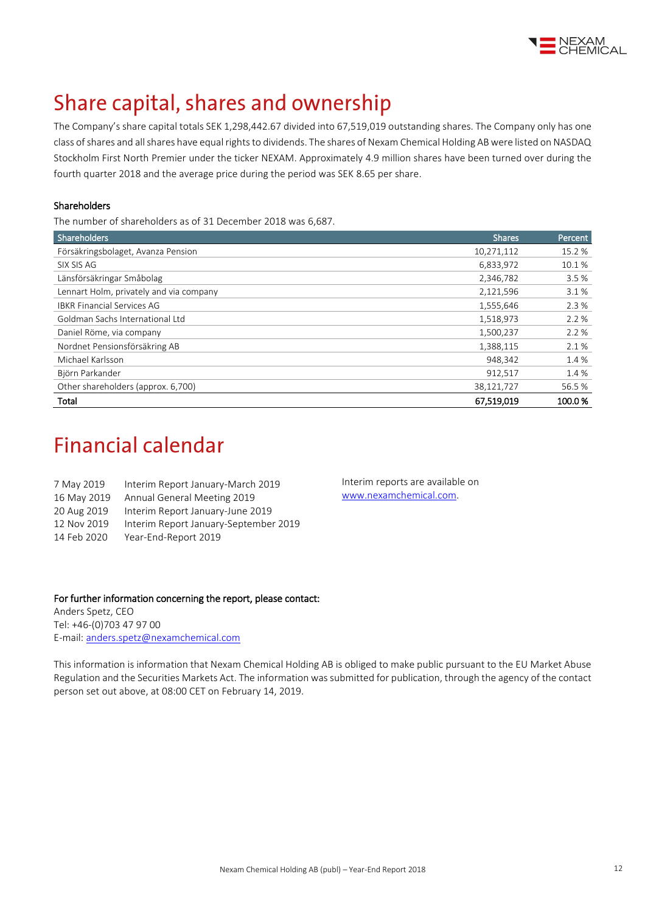

## Share capital, shares and ownership

The Company's share capital totals SEK 1,298,442.67 divided into 67,519,019 outstanding shares. The Company only has one class of shares and all shares have equal rights to dividends. The shares of Nexam Chemical Holding AB were listed on NASDAQ Stockholm First North Premier under the ticker NEXAM. Approximately 4.9 million shares have been turned over during the fourth quarter 2018 and the average price during the period was SEK 8.65 per share.

#### Shareholders

The number of shareholders as of 31 December 2018 was 6,687.

| <b>Shareholders</b>                     | <b>Shares</b> | Percent |
|-----------------------------------------|---------------|---------|
| Försäkringsbolaget, Avanza Pension      | 10,271,112    | 15.2 %  |
| SIX SIS AG                              | 6,833,972     | 10.1 %  |
| Länsförsäkringar Småbolag               | 2,346,782     | 3.5%    |
| Lennart Holm, privately and via company | 2,121,596     | 3.1%    |
| <b>IBKR Financial Services AG</b>       | 1,555,646     | 2.3%    |
| Goldman Sachs International Ltd         | 1,518,973     | 2.2%    |
| Daniel Röme, via company                | 1,500,237     | 2.2%    |
| Nordnet Pensionsförsäkring AB           | 1,388,115     | 2.1%    |
| Michael Karlsson                        | 948.342       | 1.4 %   |
| Björn Parkander                         | 912,517       | 1.4 %   |
| Other shareholders (approx. 6,700)      | 38,121,727    | 56.5%   |
| Total                                   | 67,519,019    | 100.0%  |

## **Financial calendar**

| 7 May 2019  | Interim Report January-March 2019     |
|-------------|---------------------------------------|
| 16 May 2019 | Annual General Meeting 2019           |
| 20 Aug 2019 | Interim Report January-June 2019      |
| 12 Nov 2019 | Interim Report January-September 2019 |
| 14 Feb 2020 | Year-End-Report 2019                  |
|             |                                       |

Interim reports are available on [www.nexamchemical.com.](http://www.nexamchemical.com/)

#### For further information concerning the report, please contact:

Anders Spetz, CEO Tel: +46-(0)703 47 97 00 E-mail[: anders.spetz@nexamchemical.com](mailto:anders.spetz@nexamchemical.com)

This information is information that Nexam Chemical Holding AB is obliged to make public pursuant to the EU Market Abuse Regulation and the Securities Markets Act. The information was submitted for publication, through the agency of the contact person set out above, at 08:00 CET on February 14, 2019.